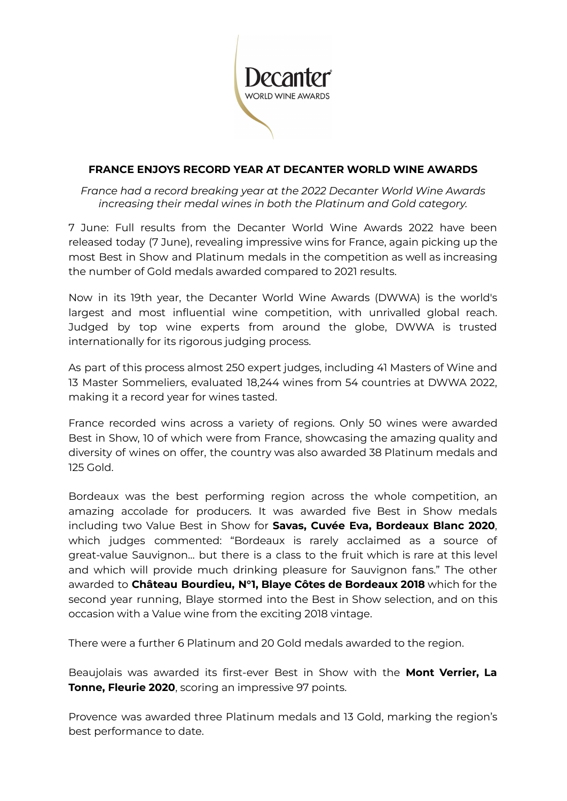

### **FRANCE ENJOYS RECORD YEAR AT DECANTER WORLD WINE AWARDS**

*France had a record breaking year at the 2022 Decanter World Wine Awards increasing their medal wines in both the Platinum and Gold category.*

7 June: Full results from the Decanter World Wine Awards 2022 have been released today (7 June), revealing impressive wins for France, again picking up the most Best in Show and Platinum medals in the competition as well as increasing the number of Gold medals awarded compared to 2021 results.

Now in its 19th year, the Decanter World Wine Awards (DWWA) is the world's largest and most influential wine competition, with unrivalled global reach. Judged by top wine experts from around the globe, DWWA is trusted internationally for its rigorous judging process.

As part of this process almost 250 expert judges, including 41 Masters of Wine and 13 Master Sommeliers, evaluated 18,244 wines from 54 countries at DWWA 2022, making it a record year for wines tasted.

France recorded wins across a variety of regions. Only 50 wines were awarded Best in Show, 10 of which were from France, showcasing the amazing quality and diversity of wines on offer, the country was also awarded 38 Platinum medals and 125 Gold.

Bordeaux was the best performing region across the whole competition, an amazing accolade for producers. It was awarded five Best in Show medals including two Value Best in Show for **Savas, Cuvée Eva, Bordeaux Blanc 2020**, which judges commented: "Bordeaux is rarely acclaimed as a source of great-value Sauvignon… but there is a class to the fruit which is rare at this level and which will provide much drinking pleasure for Sauvignon fans." The other awarded to **Château Bourdieu, N°1, Blaye Côtes de Bordeaux 2018** which for the second year running, Blaye stormed into the Best in Show selection, and on this occasion with a Value wine from the exciting 2018 vintage.

There were a further 6 Platinum and 20 Gold medals awarded to the region.

Beaujolais was awarded its first-ever Best in Show with the **Mont Verrier, La Tonne, Fleurie 2020**, scoring an impressive 97 points.

Provence was awarded three Platinum medals and 13 Gold, marking the region's best performance to date.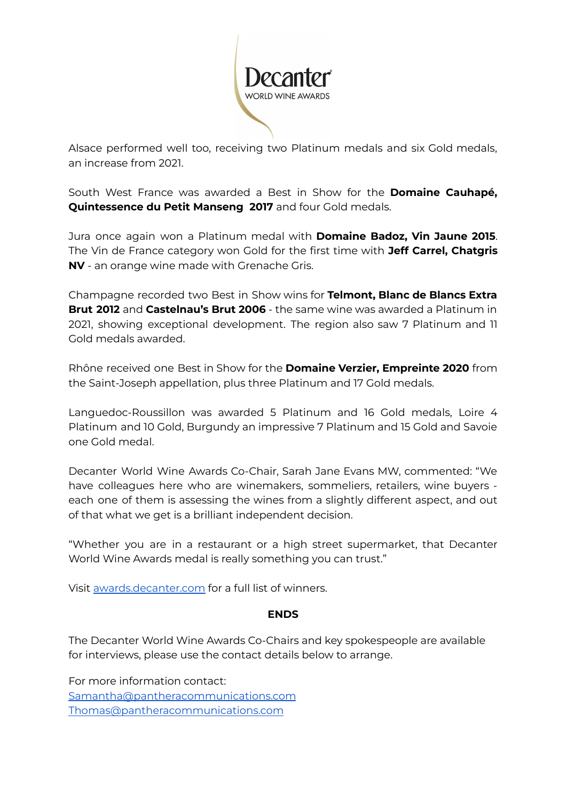

Alsace performed well too, receiving two Platinum medals and six Gold medals, an increase from 2021.

South West France was awarded a Best in Show for the **Domaine Cauhapé, Quintessence du Petit Manseng 2017** and four Gold medals.

Jura once again won a Platinum medal with **Domaine Badoz, Vin Jaune 2015**. The Vin de France category won Gold for the first time with **Jeff Carrel, Chatgris NV** - an orange wine made with Grenache Gris.

Champagne recorded two Best in Show wins for **Telmont, Blanc de Blancs Extra Brut 2012** and **Castelnau's Brut 2006** - the same wine was awarded a Platinum in 2021, showing exceptional development. The region also saw 7 Platinum and 11 Gold medals awarded.

Rhône received one Best in Show for the **Domaine Verzier, Empreinte 2020** from the Saint-Joseph appellation, plus three Platinum and 17 Gold medals.

Languedoc-Roussillon was awarded 5 Platinum and 16 Gold medals, Loire 4 Platinum and 10 Gold, Burgundy an impressive 7 Platinum and 15 Gold and Savoie one Gold medal.

Decanter World Wine Awards Co-Chair, Sarah Jane Evans MW, commented: "We have colleagues here who are winemakers, sommeliers, retailers, wine buyers each one of them is assessing the wines from a slightly different aspect, and out of that what we get is a brilliant independent decision.

"Whether you are in a restaurant or a high street supermarket, that Decanter World Wine Awards medal is really something you can trust."

Visit [awards.decanter.com](http://awards.decanter.com) for a full list of winners.

### **ENDS**

The Decanter World Wine Awards Co-Chairs and key spokespeople are available for interviews, please use the contact details below to arrange.

For more information contact: [Samantha@pantheracommunications.com](mailto:Samantha@pantheracommunications.com) [Thomas@pantheracommunications.com](mailto:Thomas@pantheracommunications.com)